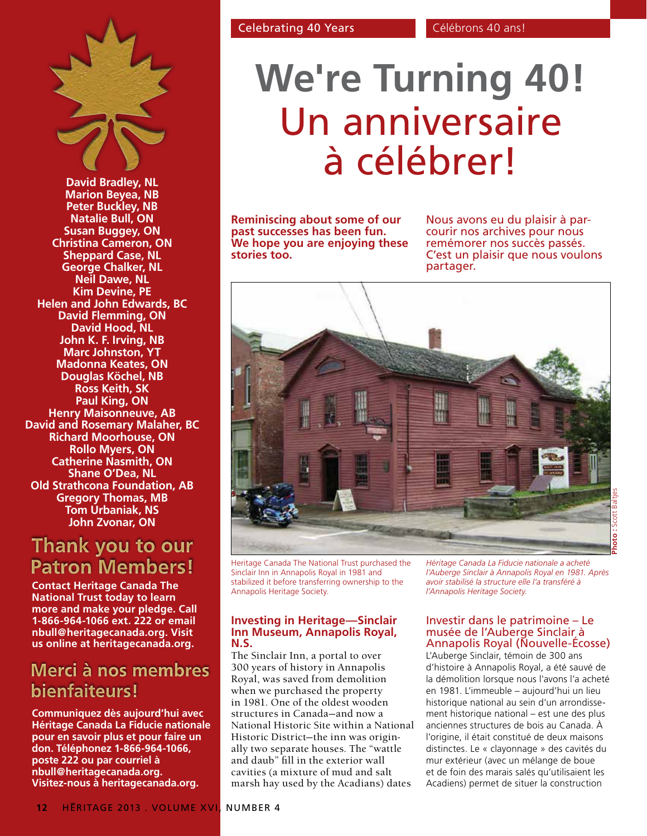

**David Bradley, NL Marion Beyea, NB Peter Buckley, NB Natalie Bull, ON Susan Buggey, ON Christina Cameron, ON Sheppard Case, NL George Chalker, NL Neil Dawe, NL Kim Devine, PE Helen and John Edwards, BC David Flemming, ON David Hood, NL John K. F. Irving, NB Marc Johnston, YT Madonna Keates, ON Douglas Köchel, NB Ross Keith, SK Paul King, ON Henry Maisonneuve, AB David and Rosemary Malaher, BC Richard Moorhouse, ON Rollo Myers, ON Catherine Nasmith, ON Shane O'Dea, NL Old Strathcona Foundation, AB Gregory Thomas, MB Tom Urbaniak, NS John Zvonar, ON**

# Thank you to our **Patron Members!**

**Contact Heritage Canada The National Trust today to learn more and make your pledge. Call 1-866-964-1066 ext. 222 or email nbull@heritagecanada.org. Visit us online at heritagecanada.org.**

## Merci à nos membres bienfaiteurs!

**Communiquez dès aujourd'hui avec Héritage Canada La Fiducie nationale pour en savoir plus et pour faire un don. Téléphonez 1-866-964-1066, poste 222 ou par courriel à nbull@heritagecanada.org. Visitez-nous à heritagecanada.org.**

# **We're Turning 40!** Un anniversaire à célébrer!

**Reminiscing about some of our past successes has been fun. We hope you are enjoying these stories too.** 

Nous avons eu du plaisir à par- courir nos archives pour nous remémorer nos succès passés. C'est un plaisir que nous voulons partager.



Heritage Canada The National Trust purchased the Sinclair Inn in Annapolis Royal in 1981 and stabilized it before transferring ownership to the Annapolis Heritage Society.

### **Investing in Heritage—Sinclair Inn Museum, Annapolis Royal, N.S.**

The Sinclair Inn, a portal to over 300 years of history in Annapolis Royal, was saved from demolition when we purchased the property in 1981. One of the oldest wooden structures in Canada—and now a National Historic Site within a National Historic District—the inn was originally two separate houses. The "wattle and daub" fill in the exterior wall cavities (a mixture of mud and salt marsh hay used by the Acadians) dates

*Héritage Canada La Fiducie nationale a acheté l'Auberge Sinclair à Annapolis Royal en 1981. Après avoir stabilisé la structure elle l'a transféré à l'Annapolis Heritage Society.*

## Investir dans le patrimoine – Le musée de l'Auberge Sinclair à Annapolis Royal (Nouvelle-Écosse)

L'Auberge Sinclair, témoin de 300 ans d'histoire à Annapolis Royal, a été sauvé de la démolition lorsque nous l'avons l'a acheté en 1981. L'immeuble – aujourd'hui un lieu historique national au sein d'un arrondissement historique national – est une des plus anciennes structures de bois au Canada. À l'origine, il était constitué de deux maisons distinctes. Le « clayonnage » des cavités du mur extérieur (avec un mélange de boue et de foin des marais salés qu'utilisaient les Acadiens) permet de situer la construction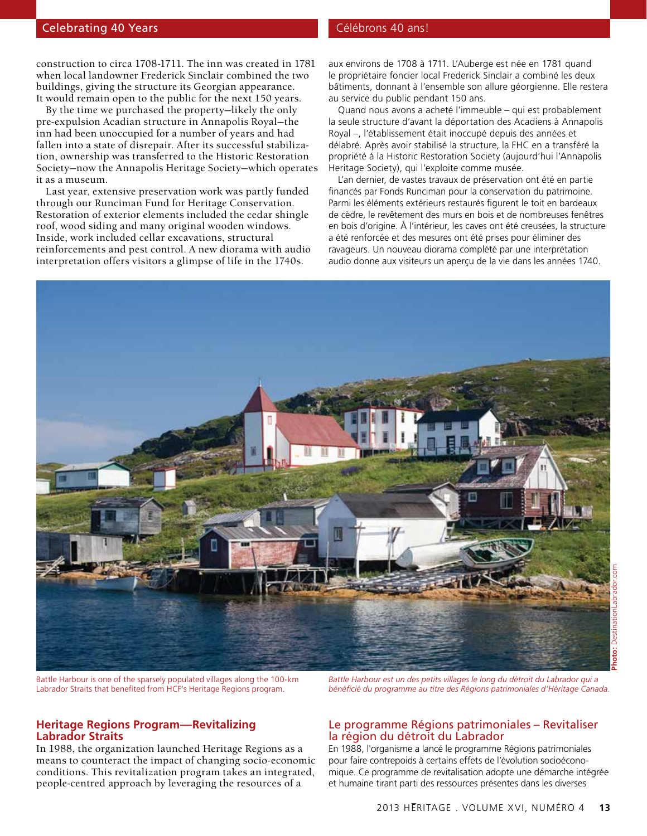#### Celebrating 40 Years Christian Celebrating 40 Years Celebrons 40 ans!

construction to circa 1708-1711. The inn was created in 1781 when local landowner Frederick Sinclair combined the two buildings, giving the structure its Georgian appearance. It would remain open to the public for the next 150 years.

By the time we purchased the property—likely the only pre-expulsion Acadian structure in Annapolis Royal—the inn had been unoccupied for a number of years and had fallen into a state of disrepair. After its successful stabilization, ownership was transferred to the Historic Restoration Society—now the Annapolis Heritage Society—which operates it as a museum.

Last year, extensive preservation work was partly funded through our Runciman Fund for Heritage Conservation. Restoration of exterior elements included the cedar shingle roof, wood siding and many original wooden windows. Inside, work included cellar excavations, structural reinforcements and pest control. A new diorama with audio interpretation offers visitors a glimpse of life in the 1740s.

aux environs de 1708 à 1711. L'Auberge est née en 1781 quand le propriétaire foncier local Frederick Sinclair a combiné les deux bâtiments, donnant à l'ensemble son allure géorgienne. Elle restera au service du public pendant 150 ans.

Quand nous avons a acheté l'immeuble – qui est probablement la seule structure d'avant la déportation des Acadiens à Annapolis Royal –, l'établissement était inoccupé depuis des années et délabré. Après avoir stabilisé la structure, la FHC en a transféré la propriété à la Historic Restoration Society (aujourd'hui l'Annapolis Heritage Society), qui l'exploite comme musée.

L'an dernier, de vastes travaux de préservation ont été en partie financés par Fonds Runciman pour la conservation du patrimoine. Parmi les éléments extérieurs restaurés figurent le toit en bardeaux de cèdre, le revêtement des murs en bois et de nombreuses fenêtres en bois d'origine. À l'intérieur, les caves ont été creusées, la structure a été renforcée et des mesures ont été prises pour éliminer des ravageurs. Un nouveau diorama complété par une interprétation audio donne aux visiteurs un aperçu de la vie dans les années 1740.



Battle Harbour is one of the sparsely populated villages along the 100-km Labrador Straits that benefited from HCF's Heritage Regions program.

#### **Heritage Regions Program—Revitalizing Labrador Straits**

In 1988, the organization launched Heritage Regions as a means to counteract the impact of changing socio-economic conditions. This revitalization program takes an integrated, people-centred approach by leveraging the resources of a

*Battle Harbour est un des petits villages le long du détroit du Labrador qui a bénéficié du programme au titre des Régions patrimoniales d'Héritage Canada.* 

#### Le programme Régions patrimoniales – Revitaliser la région du détroit du Labrador

En 1988, l'organisme a lancé le programme Régions patrimoniales pour faire contrepoids à certains effets de l'évolution socioéconomique. Ce programme de revitalisation adopte une démarche intégrée et humaine tirant parti des ressources présentes dans les diverses